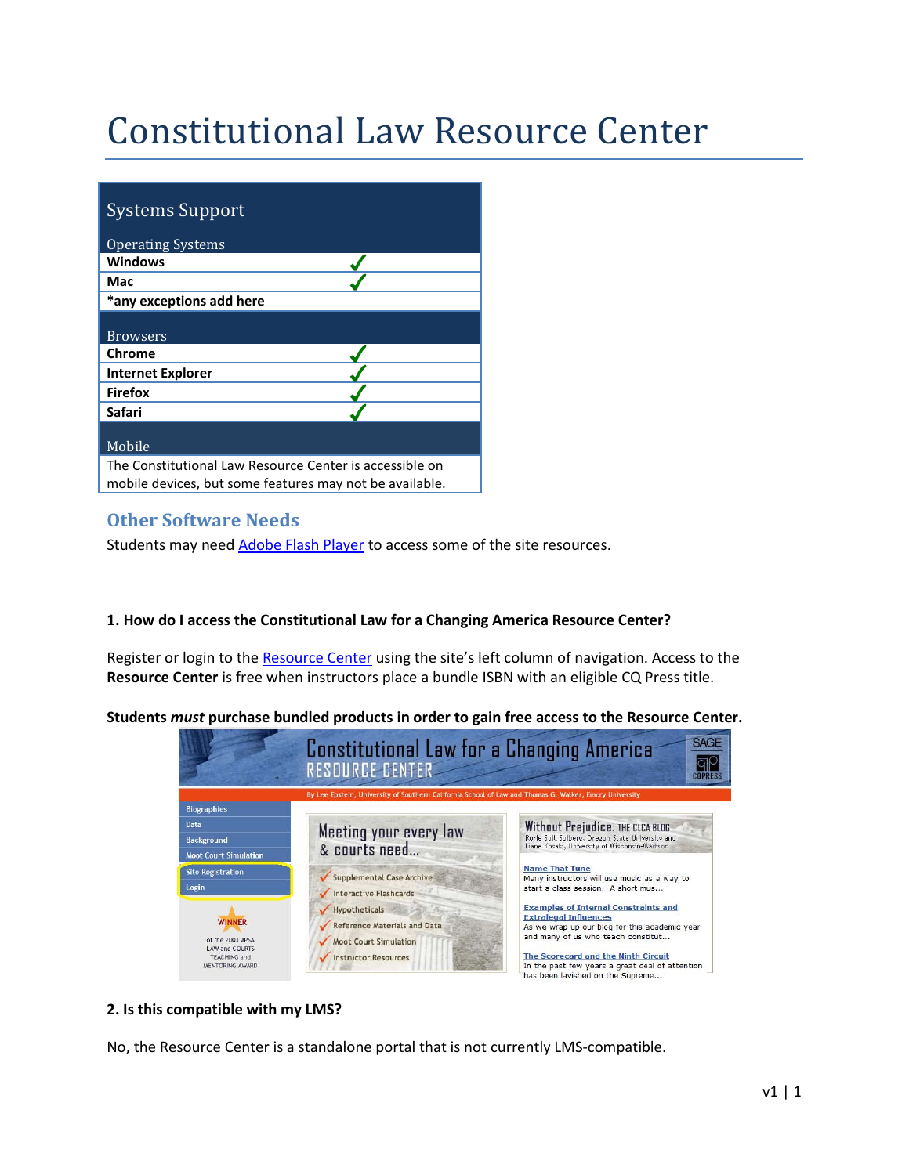# Constitutional Law Resource Center

| <b>Systems Support</b>                                                                                             |
|--------------------------------------------------------------------------------------------------------------------|
| <b>Operating Systems</b>                                                                                           |
| <b>Windows</b>                                                                                                     |
| Mac                                                                                                                |
| *any exceptions add here                                                                                           |
|                                                                                                                    |
| <b>Browsers</b>                                                                                                    |
| <b>Chrome</b>                                                                                                      |
| <b>Internet Explorer</b>                                                                                           |
| <b>Firefox</b>                                                                                                     |
| Safari                                                                                                             |
|                                                                                                                    |
| Mobile                                                                                                             |
| The Constitutional Law Resource Center is accessible on<br>mobile devices, but some features may not be available. |

## **Other Software Needs**

Students may need Adobe [Flash Player](http://get.adobe.com/flashplayer/) to access some of the site resources.

### **1. How do I access the Constitutional Law for a Changing America Resource Center?**

Register or login to th[e Resource Center](http://college.cqpress.com/sites/clca/Home.aspx) using the site's left column of navigation. Access to the **Resource Center** is free when instructors place a bundle ISBN with an eligible CQ Press title.

**Students** *must* **purchase bundled products in order to gain free access to the Resource Center.**



### **2. Is this compatible with my LMS?**

No, the Resource Center is a standalone portal that is not currently LMS-compatible.